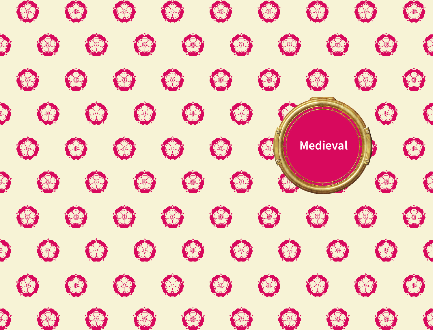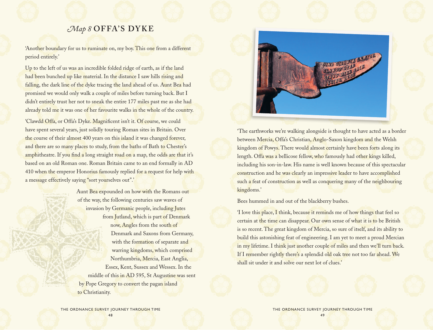# *Map 8* **OFFA'S DYK E**

'Another boundary for us to ruminate on, my boy. This one from a different period entirely.'

Up to the left of us was an incredible folded ridge of earth, as if the land had been bunched up like material. In the distance I saw hills rising and falling, the dark line of the dyke tracing the land ahead of us. Aunt Bea had promised we would only walk a couple of miles before turning back. But I didn't entirely trust her not to sneak the entire 177 miles past me as she had already told me it was one of her favourite walks in the whole of the country.

'Clawdd Offa, or Offa's Dyke. Magnificent isn't it. Of course, we could have spent several years, just solidly touring Roman sites in Britain. Over the course of their almost 400 years on this island it was changed forever, and there are so many places to study, from the baths of Bath to Chester's amphitheatre. If you find a long straight road on a map, the odds are that it's based on an old Roman one. Roman Britain came to an end formally in AD 410 when the emperor Honorius famously replied for a request for help with a message effectively saying "sort yourselves out".'

> Aunt Bea expounded on how with the Romans out of the way, the following centuries saw waves of invasion by Germanic people, including Jutes from Jutland, which is part of Denmark now, Angles from the south of Denmark and Saxons from Germany, with the formation of separate and warring kingdoms, which comprised Northumbria, Mercia, East Anglia, Essex, Kent, Sussex and Wessex. In the middle of this in AD 595, St Augustine was sent by Pope Gregory to convert the pagan island to Christianity.



'The earthworks we're walking alongside is thought to have acted as a border between Mercia, Offa's Christian, Anglo-Saxon kingdom and the Welsh kingdom of Powys. There would almost certainly have been forts along its length. Offa was a bellicose fellow, who famously had other kings killed, including his son-in-law. His name is well known because of this spectacular construction and he was clearly an impressive leader to have accomplished such a feat of construction as well as conquering many of the neighbouring kingdoms.'

Bees hummed in and out of the blackberry bushes.

'I love this place, I think, because it reminds me of how things that feel so certain at the time can disappear. Our own sense of what it is to be British is so recent. The great kingdom of Mercia, so sure of itself, and its ability to build this astonishing feat of engineering. I am yet to meet a proud Mercian in my lifetime. I think just another couple of miles and then we'll turn back. If I remember rightly there's a splendid old oak tree not too far ahead. We shall sit under it and solve our next lot of clues.'